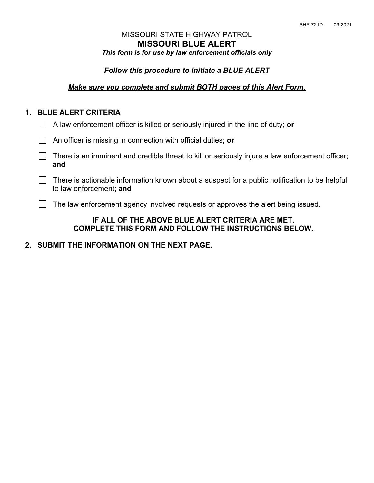## MISSOURI STATE HIGHWAY PATROL **MISSOURI BLUE ALERT** *This form is for use by law enforcement officials only*

### *Follow this procedure to initiate a BLUE ALERT*

#### *Make sure you complete and submit BOTH pages of this Alert Form.*

## **1. BLUE ALERT CRITERIA**

|  |  |  |  |  | $\Box$ A law enforcement officer is killed or seriously injured in the line of duty; or |
|--|--|--|--|--|-----------------------------------------------------------------------------------------|
|--|--|--|--|--|-----------------------------------------------------------------------------------------|

- An officer is missing in connection with official duties; **or**
- $\Box$  There is an imminent and credible threat to kill or seriously injure a law enforcement officer; **and**
- $\Box$  There is actionable information known about a suspect for a public notification to be helpful to law enforcement; **and**

The law enforcement agency involved requests or approves the alert being issued.

#### **IF ALL OF THE ABOVE BLUE ALERT CRITERIA ARE MET, COMPLETE THIS FORM AND FOLLOW THE INSTRUCTIONS BELOW.**

## **2. SUBMIT THE INFORMATION ON THE NEXT PAGE.**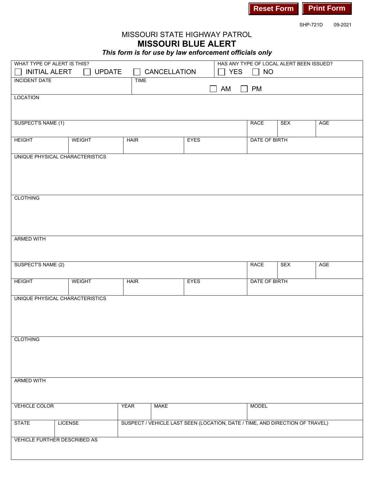

SHP-721D 09-2021

# MISSOURI STATE HIGHWAY PATROL **MISSOURI BLUE ALERT**

*This form is for use by law enforcement officials only*

| WHAT TYPE OF ALERT IS THIS?<br>$\Box$ INITIAL ALERT<br><b>UPDATE</b> |                                     |             |                                                                              |             | HAS ANY TYPE OF LOCAL ALERT BEEN ISSUED? |               |            |            |  |
|----------------------------------------------------------------------|-------------------------------------|-------------|------------------------------------------------------------------------------|-------------|------------------------------------------|---------------|------------|------------|--|
|                                                                      |                                     |             | CANCELLATION                                                                 |             | <b>YES</b>                               | <b>NO</b>     |            |            |  |
|                                                                      | <b>INCIDENT DATE</b><br><b>TIME</b> |             |                                                                              |             |                                          |               |            |            |  |
|                                                                      |                                     |             |                                                                              |             | AM<br>$\mathbf{L}$                       | <b>PM</b>     |            |            |  |
| LOCATION                                                             |                                     |             |                                                                              |             |                                          |               |            |            |  |
|                                                                      |                                     |             |                                                                              |             |                                          |               |            |            |  |
|                                                                      |                                     |             |                                                                              |             |                                          |               |            |            |  |
| SUSPECT'S NAME (1)                                                   |                                     |             |                                                                              |             |                                          | <b>RACE</b>   | <b>SEX</b> | <b>AGE</b> |  |
|                                                                      |                                     |             |                                                                              |             |                                          |               |            |            |  |
| <b>HEIGHT</b>                                                        | <b>WEIGHT</b>                       | <b>HAIR</b> |                                                                              | <b>EYES</b> |                                          | DATE OF BIRTH |            |            |  |
|                                                                      |                                     |             |                                                                              |             |                                          |               |            |            |  |
|                                                                      |                                     |             |                                                                              |             |                                          |               |            |            |  |
|                                                                      | UNIQUE PHYSICAL CHARACTERISTICS     |             |                                                                              |             |                                          |               |            |            |  |
|                                                                      |                                     |             |                                                                              |             |                                          |               |            |            |  |
|                                                                      |                                     |             |                                                                              |             |                                          |               |            |            |  |
|                                                                      |                                     |             |                                                                              |             |                                          |               |            |            |  |
|                                                                      |                                     |             |                                                                              |             |                                          |               |            |            |  |
| <b>CLOTHING</b>                                                      |                                     |             |                                                                              |             |                                          |               |            |            |  |
|                                                                      |                                     |             |                                                                              |             |                                          |               |            |            |  |
|                                                                      |                                     |             |                                                                              |             |                                          |               |            |            |  |
|                                                                      |                                     |             |                                                                              |             |                                          |               |            |            |  |
|                                                                      |                                     |             |                                                                              |             |                                          |               |            |            |  |
|                                                                      |                                     |             |                                                                              |             |                                          |               |            |            |  |
| <b>ARMED WITH</b>                                                    |                                     |             |                                                                              |             |                                          |               |            |            |  |
|                                                                      |                                     |             |                                                                              |             |                                          |               |            |            |  |
|                                                                      |                                     |             |                                                                              |             |                                          |               |            |            |  |
|                                                                      |                                     |             |                                                                              |             |                                          |               |            |            |  |
| SUSPECT'S NAME (2)                                                   |                                     |             |                                                                              |             |                                          | <b>RACE</b>   | <b>SEX</b> | <b>AGE</b> |  |
|                                                                      |                                     |             |                                                                              |             |                                          |               |            |            |  |
|                                                                      |                                     |             |                                                                              |             |                                          |               |            |            |  |
| <b>HEIGHT</b>                                                        | <b>WEIGHT</b>                       | <b>HAIR</b> |                                                                              | <b>EYES</b> |                                          | DATE OF BIRTH |            |            |  |
|                                                                      |                                     |             |                                                                              |             |                                          |               |            |            |  |
|                                                                      | UNIQUE PHYSICAL CHARACTERISTICS     |             |                                                                              |             |                                          |               |            |            |  |
|                                                                      |                                     |             |                                                                              |             |                                          |               |            |            |  |
|                                                                      |                                     |             |                                                                              |             |                                          |               |            |            |  |
|                                                                      |                                     |             |                                                                              |             |                                          |               |            |            |  |
|                                                                      |                                     |             |                                                                              |             |                                          |               |            |            |  |
| <b>CLOTHING</b>                                                      |                                     |             |                                                                              |             |                                          |               |            |            |  |
|                                                                      |                                     |             |                                                                              |             |                                          |               |            |            |  |
|                                                                      |                                     |             |                                                                              |             |                                          |               |            |            |  |
|                                                                      |                                     |             |                                                                              |             |                                          |               |            |            |  |
|                                                                      |                                     |             |                                                                              |             |                                          |               |            |            |  |
|                                                                      |                                     |             |                                                                              |             |                                          |               |            |            |  |
| <b>ARMED WITH</b>                                                    |                                     |             |                                                                              |             |                                          |               |            |            |  |
|                                                                      |                                     |             |                                                                              |             |                                          |               |            |            |  |
|                                                                      |                                     |             |                                                                              |             |                                          |               |            |            |  |
| <b>VEHICLE COLOR</b>                                                 |                                     | <b>YEAR</b> | <b>MAKE</b>                                                                  |             |                                          | <b>MODEL</b>  |            |            |  |
|                                                                      |                                     |             |                                                                              |             |                                          |               |            |            |  |
|                                                                      |                                     |             |                                                                              |             |                                          |               |            |            |  |
| <b>STATE</b>                                                         | <b>LICENSE</b>                      |             | SUSPECT / VEHICLE LAST SEEN (LOCATION, DATE / TIME, AND DIRECTION OF TRAVEL) |             |                                          |               |            |            |  |
|                                                                      |                                     |             |                                                                              |             |                                          |               |            |            |  |
|                                                                      | VEHICLE FURTHER DESCRIBED AS        |             |                                                                              |             |                                          |               |            |            |  |
|                                                                      |                                     |             |                                                                              |             |                                          |               |            |            |  |